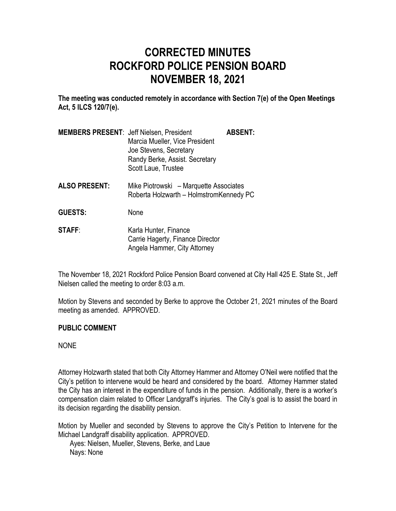# **CORRECTED MINUTES ROCKFORD POLICE PENSION BOARD NOVEMBER 18, 2021**

**The meeting was conducted remotely in accordance with Section 7(e) of the Open Meetings Act, 5 ILCS 120/7(e).**

| <b>MEMBERS PRESENT: Jeff Nielsen, President</b><br>Marcia Mueller, Vice President<br>Joe Stevens, Secretary<br>Randy Berke, Assist. Secretary<br>Scott Laue, Trustee | <b>ABSENT:</b> |
|----------------------------------------------------------------------------------------------------------------------------------------------------------------------|----------------|
|                                                                                                                                                                      |                |

- **ALSO PRESENT:** Mike Piotrowski Marquette Associates Roberta Holzwarth – HolmstromKennedy PC
- **GUESTS:** None
- **STAFF:** Karla Hunter, Finance Carrie Hagerty, Finance Director Angela Hammer, City Attorney

The November 18, 2021 Rockford Police Pension Board convened at City Hall 425 E. State St., Jeff Nielsen called the meeting to order 8:03 a.m.

Motion by Stevens and seconded by Berke to approve the October 21, 2021 minutes of the Board meeting as amended. APPROVED.

## **PUBLIC COMMENT**

## NONE

Attorney Holzwarth stated that both City Attorney Hammer and Attorney O'Neil were notified that the City's petition to intervene would be heard and considered by the board. Attorney Hammer stated the City has an interest in the expenditure of funds in the pension. Additionally, there is a worker's compensation claim related to Officer Landgraff's injuries. The City's goal is to assist the board in its decision regarding the disability pension.

Motion by Mueller and seconded by Stevens to approve the City's Petition to Intervene for the Michael Landgraff disability application. APPROVED.

Ayes: Nielsen, Mueller, Stevens, Berke, and Laue Nays: None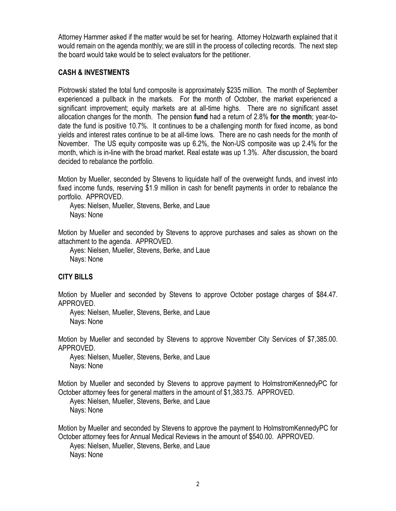Attorney Hammer asked if the matter would be set for hearing. Attorney Holzwarth explained that it would remain on the agenda monthly; we are still in the process of collecting records. The next step the board would take would be to select evaluators for the petitioner.

## **CASH & INVESTMENTS**

Piotrowski stated the total fund composite is approximately \$235 million. The month of September experienced a pullback in the markets. For the month of October, the market experienced a significant improvement; equity markets are at all-time highs. There are no significant asset allocation changes for the month. The pension **fund** had a return of 2.8% **for the month**; year-todate the fund is positive 10.7%. It continues to be a challenging month for fixed income, as bond yields and interest rates continue to be at all-time lows. There are no cash needs for the month of November. The US equity composite was up 6.2%, the Non-US composite was up 2.4% for the month, which is in-line with the broad market. Real estate was up 1.3%. After discussion, the board decided to rebalance the portfolio.

Motion by Mueller, seconded by Stevens to liquidate half of the overweight funds, and invest into fixed income funds, reserving \$1.9 million in cash for benefit payments in order to rebalance the portfolio. APPROVED.

Ayes: Nielsen, Mueller, Stevens, Berke, and Laue Nays: None

Motion by Mueller and seconded by Stevens to approve purchases and sales as shown on the attachment to the agenda. APPROVED.

Ayes: Nielsen, Mueller, Stevens, Berke, and Laue Nays: None

## **CITY BILLS**

Motion by Mueller and seconded by Stevens to approve October postage charges of \$84.47. APPROVED.

Ayes: Nielsen, Mueller, Stevens, Berke, and Laue Nays: None

Motion by Mueller and seconded by Stevens to approve November City Services of \$7,385.00. APPROVED.

Ayes: Nielsen, Mueller, Stevens, Berke, and Laue Nays: None

Motion by Mueller and seconded by Stevens to approve payment to HolmstromKennedyPC for October attorney fees for general matters in the amount of \$1,383.75. APPROVED.

Ayes: Nielsen, Mueller, Stevens, Berke, and Laue Nays: None

Motion by Mueller and seconded by Stevens to approve the payment to HolmstromKennedyPC for October attorney fees for Annual Medical Reviews in the amount of \$540.00. APPROVED.

Ayes: Nielsen, Mueller, Stevens, Berke, and Laue Nays: None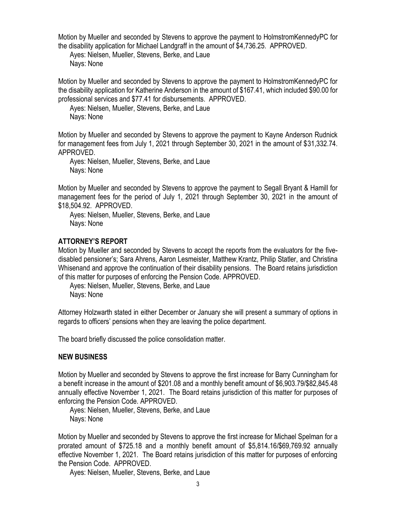Motion by Mueller and seconded by Stevens to approve the payment to HolmstromKennedyPC for the disability application for Michael Landgraff in the amount of \$4,736.25. APPROVED.

Ayes: Nielsen, Mueller, Stevens, Berke, and Laue Nays: None

Motion by Mueller and seconded by Stevens to approve the payment to HolmstromKennedyPC for the disability application for Katherine Anderson in the amount of \$167.41, which included \$90.00 for professional services and \$77.41 for disbursements. APPROVED.

Ayes: Nielsen, Mueller, Stevens, Berke, and Laue Nays: None

Motion by Mueller and seconded by Stevens to approve the payment to Kayne Anderson Rudnick for management fees from July 1, 2021 through September 30, 2021 in the amount of \$31,332.74. APPROVED.

Ayes: Nielsen, Mueller, Stevens, Berke, and Laue Nays: None

Motion by Mueller and seconded by Stevens to approve the payment to Segall Bryant & Hamill for management fees for the period of July 1, 2021 through September 30, 2021 in the amount of \$18,504.92. APPROVED.

Ayes: Nielsen, Mueller, Stevens, Berke, and Laue Nays: None

## **ATTORNEY'S REPORT**

Motion by Mueller and seconded by Stevens to accept the reports from the evaluators for the fivedisabled pensioner's; Sara Ahrens, Aaron Lesmeister, Matthew Krantz, Philip Statler, and Christina Whisenand and approve the continuation of their disability pensions. The Board retains jurisdiction of this matter for purposes of enforcing the Pension Code. APPROVED.

Ayes: Nielsen, Mueller, Stevens, Berke, and Laue Nays: None

Attorney Holzwarth stated in either December or January she will present a summary of options in regards to officers' pensions when they are leaving the police department.

The board briefly discussed the police consolidation matter.

## **NEW BUSINESS**

Motion by Mueller and seconded by Stevens to approve the first increase for Barry Cunningham for a benefit increase in the amount of \$201.08 and a monthly benefit amount of \$6,903.79/\$82,845.48 annually effective November 1, 2021. The Board retains jurisdiction of this matter for purposes of enforcing the Pension Code. APPROVED.

Ayes: Nielsen, Mueller, Stevens, Berke, and Laue Nays: None

Motion by Mueller and seconded by Stevens to approve the first increase for Michael Spelman for a prorated amount of \$725.18 and a monthly benefit amount of \$5,814.16/\$69,769.92 annually effective November 1, 2021. The Board retains jurisdiction of this matter for purposes of enforcing the Pension Code. APPROVED.

Ayes: Nielsen, Mueller, Stevens, Berke, and Laue